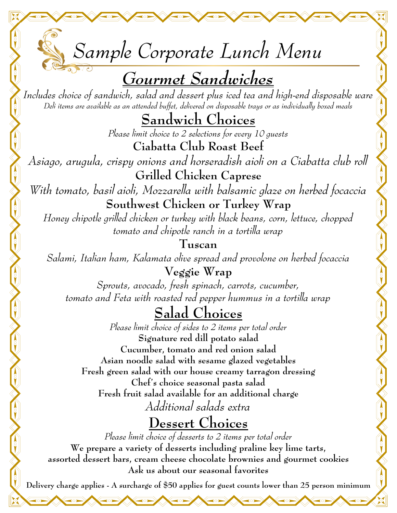*Sample Corporate Lunch Menu Gourmet Sandwiches Includes choice of sandwich, salad and dessert plus iced tea and high-end disposable ware Deli items are available as an attended buffet, delivered on disposable trays or as individually boxed meals* **Sandwich Choices**  *Please limit choice to 2 selections for every 10 guests* **Ciabatta Club Roast Beef** *Asiago, arugula, crispy onions and horseradish aioli on a Ciabatta club roll* **Grilled Chicken Caprese** *With tomato, basil aioli, Mozzarella with balsamic glaze on herbed focaccia* **Southwest Chicken or Turkey Wrap** *Honey chipotle grilled chicken or turkey with black beans, corn, lettuce, chopped tomato and chipotle ranch in a tortilla wrap* **Tuscan** *Salami, Italian ham, Kalamata olive spread and provolone on herbed focaccia* **Veggie Wrap** *Sprouts, avocado, fresh spinach, carrots, cucumber, tomato and Feta with roasted red pepper hummus in a tortilla wrap* **Salad Choices**  *Please limit choice of sides to 2 items per total order* **Signature red dill potato salad Cucumber, tomato and red onion salad Asian noodle salad with sesame glazed vegetables Fresh green salad with our house creamy tarragon dressing Chef's choice seasonal pasta salad Fresh fruit salad available for an additional charge** *Additional salads extra* **Dessert Choices**  *Please limit choice of desserts to 2 items per total order* **We prepare a variety of desserts including praline key lime tarts, assorted dessert bars, cream cheese chocolate brownies and gourmet cookies Ask us about our seasonal favorites Delivery charge applies - A surcharge of \$50 applies for guest counts lower than 25 person minimum**

**TOT**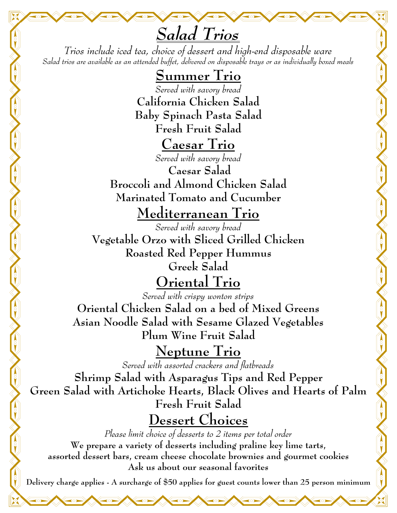*Salad Trios Trios include iced tea, choice of dessert and high-end disposable ware Salad trios are available as an attended buffet, delivered on disposable trays or as individually boxed meals*

## **Summer Trio**

*Served with savory bread*  **California Chicken Salad Baby Spinach Pasta Salad Fresh Fruit Salad**

## **Caesar Trio**

*Served with savory bread*  **Caesar Salad Broccoli and Almond Chicken Salad** 

**Marinated Tomato and Cucumber**

**Mediterranean Trio** 

*Served with savory bread*  **Vegetable Orzo with Sliced Grilled Chicken Roasted Red Pepper Hummus Greek Salad**

## **Oriental Trio**

*Served with crispy wonton strips*  **Oriental Chicken Salad on a bed of Mixed Greens Asian Noodle Salad with Sesame Glazed Vegetables Plum Wine Fruit Salad**

**Neptune Trio** 

*Served with assorted crackers and flatbreads* 

**Shrimp Salad with Asparagus Tips and Red Pepper Green Salad with Artichoke Hearts, Black Olives and Hearts of Palm Fresh Fruit Salad**

**Dessert Choices**

*Please limit choice of desserts to 2 items per total order* **We prepare a variety of desserts including praline key lime tarts, assorted dessert bars, cream cheese chocolate brownies and gourmet cookies Ask us about our seasonal favorites** 

**Delivery charge applies - A surcharge of \$50 applies for guest counts lower than 25 person minimum**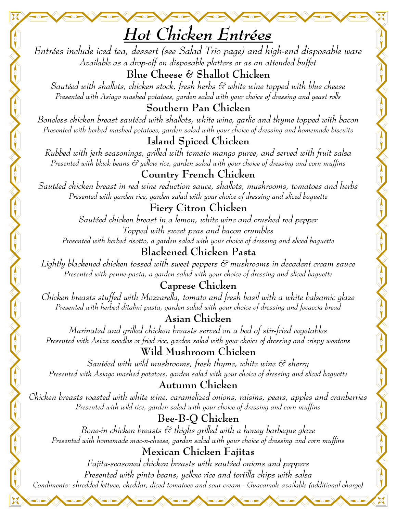*Entrées include iced tea, dessert (see Salad Trio page) and high-end disposable ware Available as a drop-off on disposable platters or as an attended buffet*  **Blue Cheese & Shallot Chicken**

*Sautéed with shallots, chicken stock, fresh herbs & white wine topped with blue cheese Presented with Asiago mashed potatoes, garden salad with your choice of dressing and yeast rolls*

**Southern Pan Chicken**

*Boneless chicken breast sautéed with shallots, white wine, garlic and thyme topped with bacon Presented with herbed mashed potatoes, garden salad with your choice of dressing and homemade biscuits*

### **Island Spiced Chicken**

*Rubbed with jerk seasonings, grilled with tomato mango puree, and served with fruit salsa Presented with black beans & yellow rice, garden salad with your choice of dressing and corn muffins*

### **Country French Chicken**

*Sautéed chicken breast in red wine reduction sauce, shallots, mushrooms, tomatoes and herbs Presented with garden rice, garden salad with your choice of dressing and sliced baguette*

### **Fiery Citron Chicken**

*Sautéed chicken breast in a lemon, white wine and crushed red pepper Topped with sweet peas and bacon crumbles* 

*Presented with herbed risotto, a garden salad with your choice of dressing and sliced baguette*

### **Blackened Chicken Pasta**

*Lightly blackened chicken tossed with sweet peppers & mushrooms in decadent cream sauce Presented with penne pasta, a garden salad with your choice of dressing and sliced baguette*

### **Caprese Chicken**

*Chicken breasts stuffed with Mozzarella, tomato and fresh basil with a white balsamic glaze Presented with herbed ditalini pasta, garden salad with your choice of dressing and focaccia bread*

### **Asian Chicken**

*Marinated and grilled chicken breasts served on a bed of stir-fried vegetables Presented with Asian noodles or fried rice, garden salad with your choice of dressing and crispy wontons*

### **Wild Mushroom Chicken**

*Sautéed with wild mushrooms, fresh thyme, white wine & sherry Presented with Asiago mashed potatoes, garden salad with your choice of dressing and sliced baguette*

### **Autumn Chicken**

*Chicken breasts roasted with white wine, caramelized onions, raisins, pears, apples and cranberries Presented with wild rice, garden salad with your choice of dressing and corn muffins*

### **Bee-B-Q Chicken**

*Bone-in chicken breasts & thighs grilled with a honey barbeque glaze Presented with homemade mac-n-cheese, garden salad with your choice of dressing and corn muffins*

### **Mexican Chicken Fajitas**

*Fajita-seasoned chicken breasts with sautéed onions and peppers Presented with pinto beans, yellow rice and tortilla chips with salsa Condiments: shredded lettuce, cheddar, diced tomatoes and sour cream - Guacamole available (additional charge)*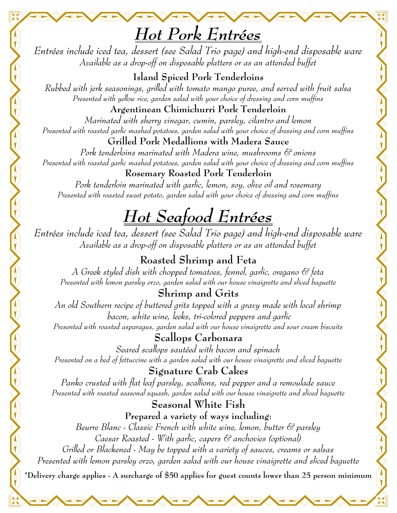## *Hot Pork Entrées*

*Entrées include iced tea, dessert (see Salad Trio page) and high-end disposable ware Available as a drop-off on disposable platters or as an attended buffet* 

**Island Spiced Pork Tenderloins** *Rubbed with jerk seasonings, grilled with tomato mango puree, and served with fruit salsa Presented with yellow rice, garden salad with your choice of dressing and corn muffins*

**Argentinean Chimichurri Pork Tenderloin** *Marinated with sherry vinegar, cumin, parsley, cilantro and lemon Presented with roasted garlic mashed potatoes, garden salad with your choice of dressing and corn muffins*

**Grilled Pork Medallions with Madera Sauce**

*Pork tenderloins marinated with Madera wine, mushrooms & onions Presented with roasted garlic mashed potatoes, garden salad with your choice of dressing and corn muffins*

**Rosemary Roasted Pork Tenderloin**

*Pork tenderloin marinated with garlic, lemon, soy, olive oil and rosemary Presented with roasted sweet potato, garden salad with your choice of dressing and corn muffins* 

# *Hot Seafood Entrées*

*Entrées include iced tea, dessert (see Salad Trio page) and high-end disposable ware Available as a drop-off on disposable platters or as an attended buffet* 

### **Roasted Shrimp and Feta**

*A Greek styled dish with chopped tomatoes, fennel, garlic, oregano & feta Presented with lemon parsley orzo, garden salad with our house vinaigrette and sliced baguette*

### **Shrimp and Grits**

*An old Southern recipe of buttered grits topped with a gravy made with local shrimp bacon, white wine, leeks, tri-colored peppers and garlic Presented with roasted asparagus, garden salad with our house vinaigrette and sour cream biscuits*

**Scallops Carbonara** *Seared scallops sautéed with bacon and spinach*

*Presented on a bed of fettuccine with a garden salad with our house vinaigrette and sliced baguette*

#### **Signature Crab Cakes**

*Panko crusted with flat leaf parsley, scallions, red pepper and a remoulade sauce Presented with roasted seasonal squash, garden salad with our house vinaigrette and sliced baguette*

**Seasonal White Fish**

**Prepared a variety of ways including:** *Beurre Blanc - Classic French with white wine, lemon, butter & parsley Caesar Roasted - With garlic, capers & anchovies (optional)*

*Grilled or Blackened - May be topped with a variety of sauces, creams or salsas Presented with lemon parsley orzo, garden salad with our house vinaigrette and sliced baguette*  **\*Delivery charge applies - A surcharge of \$50 applies for guest counts lower than 25 person minimum**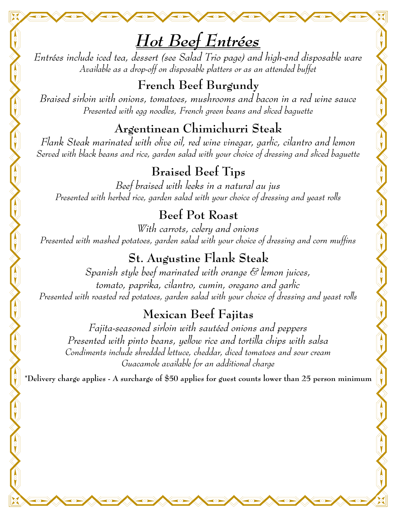*Entrées include iced tea, dessert (see Salad Trio page) and high-end disposable ware Available as a drop-off on disposable platters or as an attended buffet* 

**French Beef Burgundy** *Braised sirloin with onions, tomatoes, mushrooms and bacon in a red wine sauce Presented with egg noodles, French green beans and sliced baguette* 

**Argentinean Chimichurri Steak**

*Flank Steak marinated with olive oil, red wine vinegar, garlic, cilantro and lemon Served with black beans and rice, garden salad with your choice of dressing and sliced baguette* 

**Braised Beef Tips**

*Beef braised with leeks in a natural au jus Presented with herbed rice, garden salad with your choice of dressing and yeast rolls* 

### **Beef Pot Roast**

*With carrots, celery and onions Presented with mashed potatoes, garden salad with your choice of dressing and corn muffins* 

## **St. Augustine Flank Steak**

*Spanish style beef marinated with orange & lemon juices, tomato, paprika, cilantro, cumin, oregano and garlic Presented with roasted red potatoes, garden salad with your choice of dressing and yeast rolls* 

## **Mexican Beef Fajitas**

*Fajita-seasoned sirloin with sautéed onions and peppers Presented with pinto beans, yellow rice and tortilla chips with salsa Condiments include shredded lettuce, cheddar, diced tomatoes and sour cream Guacamole available for an additional charge* 

**\*Delivery charge applies - A surcharge of \$50 applies for guest counts lower than 25 person minimum**